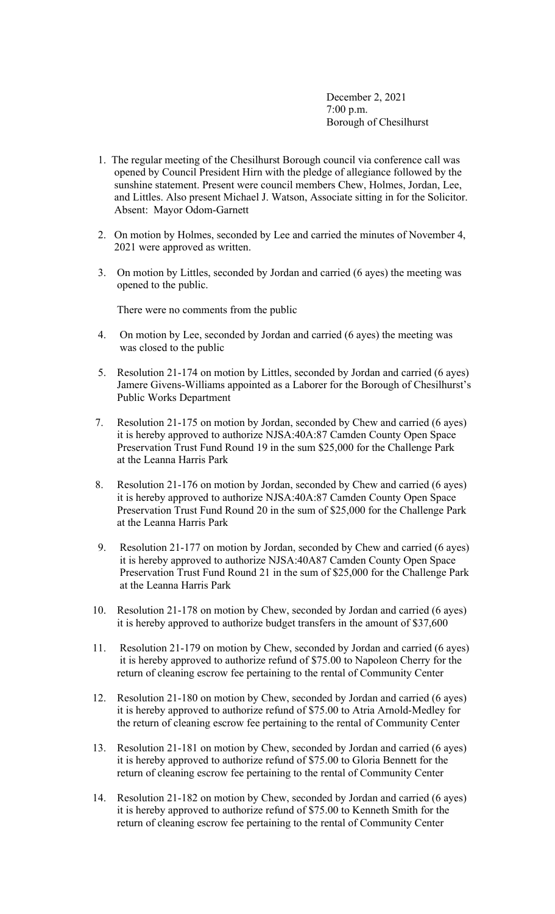December 2, 2021 7:00 p.m. Borough of Chesilhurst

- 1. The regular meeting of the Chesilhurst Borough council via conference call was opened by Council President Hirn with the pledge of allegiance followed by the sunshine statement. Present were council members Chew, Holmes, Jordan, Lee, and Littles. Also present Michael J. Watson, Associate sitting in for the Solicitor. Absent: Mayor Odom-Garnett
- 2. On motion by Holmes, seconded by Lee and carried the minutes of November 4, 2021 were approved as written.
- 3. On motion by Littles, seconded by Jordan and carried (6 ayes) the meeting was opened to the public.

There were no comments from the public

- 4. On motion by Lee, seconded by Jordan and carried (6 ayes) the meeting was was closed to the public
- 5. Resolution 21-174 on motion by Littles, seconded by Jordan and carried (6 ayes) Jamere Givens-Williams appointed as a Laborer for the Borough of Chesilhurst's Public Works Department
- 7. Resolution 21-175 on motion by Jordan, seconded by Chew and carried (6 ayes) it is hereby approved to authorize NJSA:40A:87 Camden County Open Space Preservation Trust Fund Round 19 in the sum \$25,000 for the Challenge Park at the Leanna Harris Park
- 8. Resolution 21-176 on motion by Jordan, seconded by Chew and carried (6 ayes) it is hereby approved to authorize NJSA:40A:87 Camden County Open Space Preservation Trust Fund Round 20 in the sum of \$25,000 for the Challenge Park at the Leanna Harris Park
- 9. Resolution 21-177 on motion by Jordan, seconded by Chew and carried (6 ayes) it is hereby approved to authorize NJSA:40A87 Camden County Open Space Preservation Trust Fund Round 21 in the sum of \$25,000 for the Challenge Park at the Leanna Harris Park
- 10. Resolution 21-178 on motion by Chew, seconded by Jordan and carried (6 ayes) it is hereby approved to authorize budget transfers in the amount of \$37,600
- 11. Resolution 21-179 on motion by Chew, seconded by Jordan and carried (6 ayes) it is hereby approved to authorize refund of \$75.00 to Napoleon Cherry for the return of cleaning escrow fee pertaining to the rental of Community Center
- 12. Resolution 21-180 on motion by Chew, seconded by Jordan and carried (6 ayes) it is hereby approved to authorize refund of \$75.00 to Atria Arnold-Medley for the return of cleaning escrow fee pertaining to the rental of Community Center
- 13. Resolution 21-181 on motion by Chew, seconded by Jordan and carried (6 ayes) it is hereby approved to authorize refund of \$75.00 to Gloria Bennett for the return of cleaning escrow fee pertaining to the rental of Community Center
- 14. Resolution 21-182 on motion by Chew, seconded by Jordan and carried (6 ayes) it is hereby approved to authorize refund of \$75.00 to Kenneth Smith for the return of cleaning escrow fee pertaining to the rental of Community Center